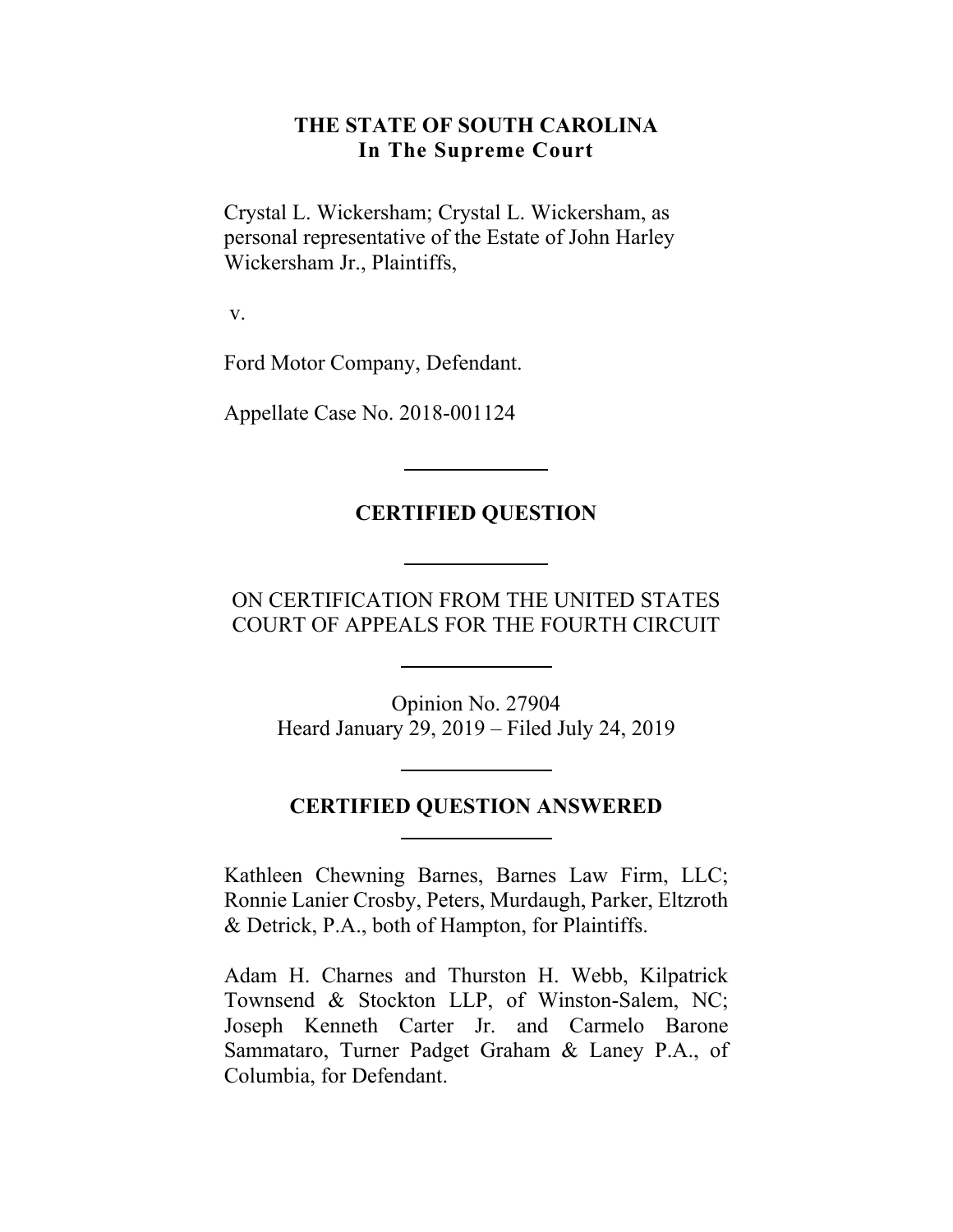### **THE STATE OF SOUTH CAROLINA In The Supreme Court**

Crystal L. Wickersham; Crystal L. Wickersham, as personal representative of the Estate of John Harley Wickersham Jr., Plaintiffs,

v.

Ford Motor Company, Defendant.

Appellate Case No. 2018-001124

### **CERTIFIED QUESTION**

### ON CERTIFICATION FROM THE UNITED STATES COURT OF APPEALS FOR THE FOURTH CIRCUIT

Opinion No. 27904 Heard January 29, 2019 – Filed July 24, 2019

#### **CERTIFIED QUESTION ANSWERED**

Kathleen Chewning Barnes, Barnes Law Firm, LLC; Ronnie Lanier Crosby, Peters, Murdaugh, Parker, Eltzroth & Detrick, P.A., both of Hampton, for Plaintiffs.

Adam H. Charnes and Thurston H. Webb, Kilpatrick Townsend & Stockton LLP, of Winston-Salem, NC; Joseph Kenneth Carter Jr. and Carmelo Barone Sammataro, Turner Padget Graham & Laney P.A., of Columbia, for Defendant.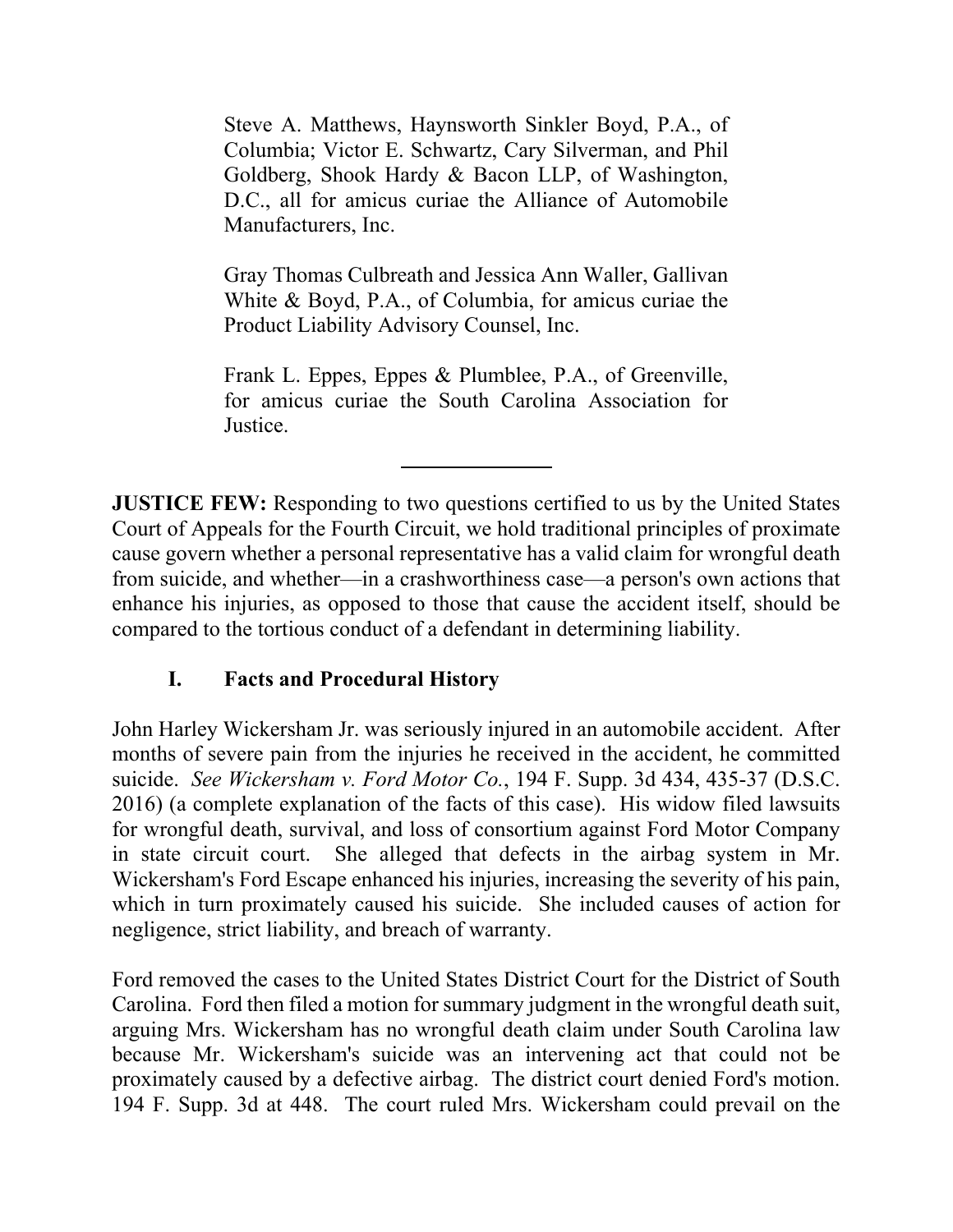Steve A. Matthews, Haynsworth Sinkler Boyd, P.A., of Columbia; Victor E. Schwartz, Cary Silverman, and Phil Goldberg, Shook Hardy & Bacon LLP, of Washington, D.C., all for amicus curiae the Alliance of Automobile Manufacturers, Inc.

Gray Thomas Culbreath and Jessica Ann Waller, Gallivan White & Boyd, P.A., of Columbia, for amicus curiae the Product Liability Advisory Counsel, Inc.

Frank L. Eppes, Eppes & Plumblee, P.A., of Greenville, for amicus curiae the South Carolina Association for Justice.

**JUSTICE FEW:** Responding to two questions certified to us by the United States Court of Appeals for the Fourth Circuit, we hold traditional principles of proximate cause govern whether a personal representative has a valid claim for wrongful death from suicide, and whether—in a crashworthiness case—a person's own actions that enhance his injuries, as opposed to those that cause the accident itself, should be compared to the tortious conduct of a defendant in determining liability.

## **I. Facts and Procedural History**

John Harley Wickersham Jr. was seriously injured in an automobile accident. After months of severe pain from the injuries he received in the accident, he committed suicide. *See Wickersham v. Ford Motor Co.*, 194 F. Supp. 3d 434, 435-37 (D.S.C. 2016) (a complete explanation of the facts of this case). His widow filed lawsuits for wrongful death, survival, and loss of consortium against Ford Motor Company in state circuit court. She alleged that defects in the airbag system in Mr. Wickersham's Ford Escape enhanced his injuries, increasing the severity of his pain, which in turn proximately caused his suicide. She included causes of action for negligence, strict liability, and breach of warranty.

 Carolina. Ford then filed a motion for summary judgment in the wrongful death suit, proximately caused by a defective airbag. The district court denied Ford's motion. Ford removed the cases to the United States District Court for the District of South arguing Mrs. Wickersham has no wrongful death claim under South Carolina law because Mr. Wickersham's suicide was an intervening act that could not be 194 F. Supp. 3d at 448. The court ruled Mrs. Wickersham could prevail on the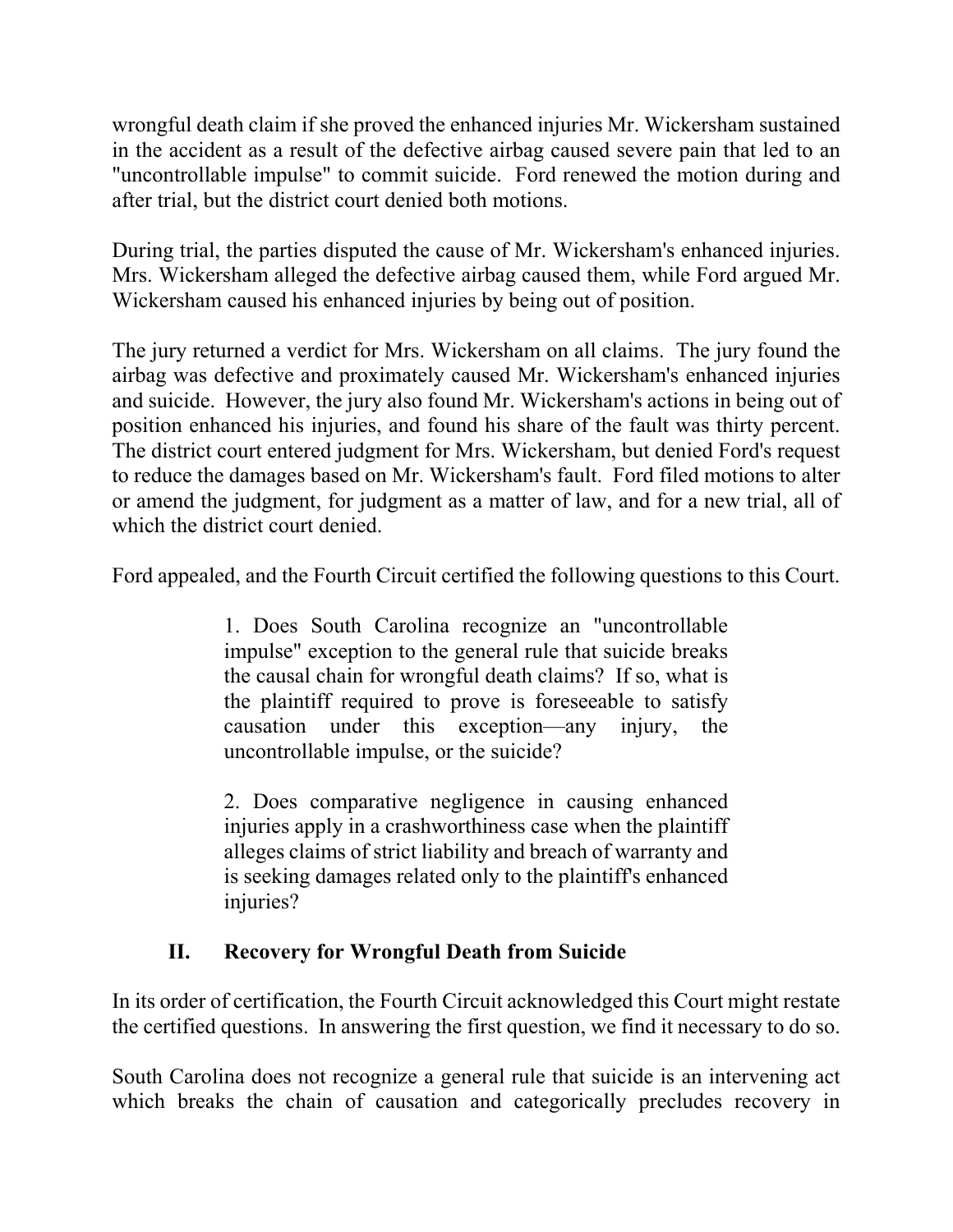wrongful death claim if she proved the enhanced injuries Mr. Wickersham sustained in the accident as a result of the defective airbag caused severe pain that led to an "uncontrollable impulse" to commit suicide. Ford renewed the motion during and after trial, but the district court denied both motions.

 During trial, the parties disputed the cause of Mr. Wickersham's enhanced injuries. Mrs. Wickersham alleged the defective airbag caused them, while Ford argued Mr. Wickersham caused his enhanced injuries by being out of position.

 The jury returned a verdict for Mrs. Wickersham on all claims. The jury found the or amend the judgment, for judgment as a matter of law, and for a new trial, all of airbag was defective and proximately caused Mr. Wickersham's enhanced injuries and suicide. However, the jury also found Mr. Wickersham's actions in being out of position enhanced his injuries, and found his share of the fault was thirty percent. The district court entered judgment for Mrs. Wickersham, but denied Ford's request to reduce the damages based on Mr. Wickersham's fault. Ford filed motions to alter which the district court denied.

Ford appealed, and the Fourth Circuit certified the following questions to this Court.

1. Does South Carolina recognize an "uncontrollable impulse" exception to the general rule that suicide breaks the causal chain for wrongful death claims? If so, what is the plaintiff required to prove is foreseeable to satisfy causation under this exception—any injury, the uncontrollable impulse, or the suicide?

2. Does comparative negligence in causing enhanced injuries apply in a crashworthiness case when the plaintiff alleges claims of strict liability and breach of warranty and is seeking damages related only to the plaintiff's enhanced injuries?

## **II. Recovery for Wrongful Death from Suicide**

 In its order of certification, the Fourth Circuit acknowledged this Court might restate the certified questions. In answering the first question, we find it necessary to do so.

South Carolina does not recognize a general rule that suicide is an intervening act which breaks the chain of causation and categorically precludes recovery in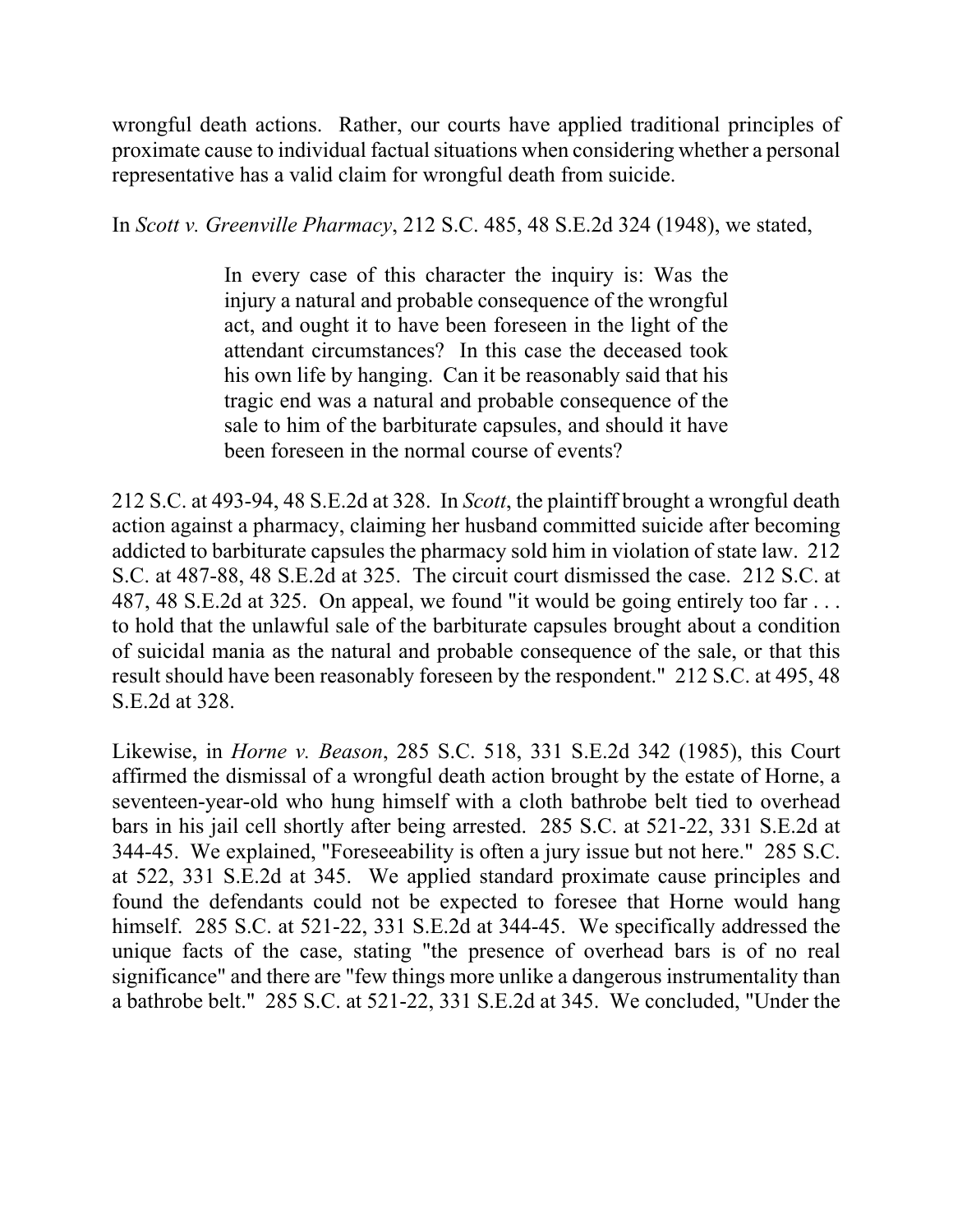wrongful death actions. Rather, our courts have applied traditional principles of proximate cause to individual factual situations when considering whether a personal representative has a valid claim for wrongful death from suicide.

In *Scott v. Greenville Pharmacy*, 212 S.C. 485, 48 S.E.2d 324 (1948), we stated,

In every case of this character the inquiry is: Was the injury a natural and probable consequence of the wrongful act, and ought it to have been foreseen in the light of the attendant circumstances? In this case the deceased took his own life by hanging. Can it be reasonably said that his tragic end was a natural and probable consequence of the sale to him of the barbiturate capsules, and should it have been foreseen in the normal course of events?

 S.C. at 487-88, 48 S.E.2d at 325. The circuit court dismissed the case. 212 S.C. at result should have been reasonably foreseen by the respondent." 212 S.C. at 495, 48 212 S.C. at 493-94, 48 S.E.2d at 328. In *Scott*, the plaintiff brought a wrongful death action against a pharmacy, claiming her husband committed suicide after becoming addicted to barbiturate capsules the pharmacy sold him in violation of state law. 212 487, 48 S.E.2d at 325. On appeal, we found "it would be going entirely too far . . . to hold that the unlawful sale of the barbiturate capsules brought about a condition of suicidal mania as the natural and probable consequence of the sale, or that this S.E.2d at 328.

 affirmed the dismissal of a wrongful death action brought by the estate of Horne, a seventeen-year-old who hung himself with a cloth bathrobe belt tied to overhead Likewise, in *Horne v. Beason*, 285 S.C. 518, 331 S.E.2d 342 (1985), this Court bars in his jail cell shortly after being arrested. 285 S.C. at 521-22, 331 S.E.2d at 344-45. We explained, "Foreseeability is often a jury issue but not here." 285 S.C. at 522, 331 S.E.2d at 345. We applied standard proximate cause principles and found the defendants could not be expected to foresee that Horne would hang himself. 285 S.C. at 521-22, 331 S.E.2d at 344-45. We specifically addressed the unique facts of the case, stating "the presence of overhead bars is of no real significance" and there are "few things more unlike a dangerous instrumentality than a bathrobe belt." 285 S.C. at 521-22, 331 S.E.2d at 345. We concluded, "Under the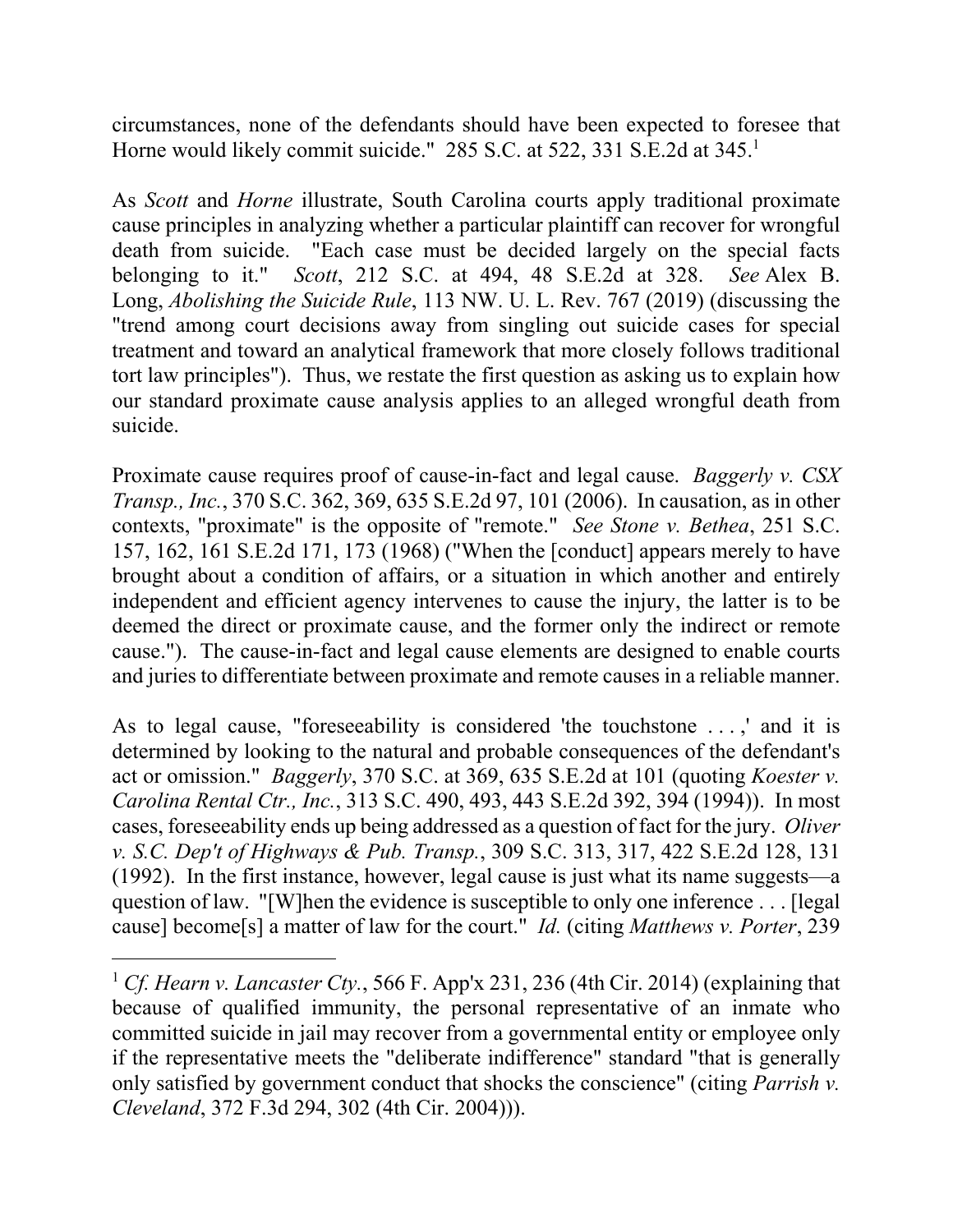circumstances, none of the defendants should have been expected to foresee that Horne would likely commit suicide." 285 S.C. at 522, 331 S.E.2d at 345.<sup>1</sup>

 death from suicide. "Each case must be decided largely on the special facts As *Scott* and *Horne* illustrate, South Carolina courts apply traditional proximate cause principles in analyzing whether a particular plaintiff can recover for wrongful belonging to it." *Scott*, 212 S.C. at 494, 48 S.E.2d at 328. *See* Alex B. Long, *Abolishing the Suicide Rule*, 113 NW. U. L. Rev. 767 (2019) (discussing the "trend among court decisions away from singling out suicide cases for special treatment and toward an analytical framework that more closely follows traditional tort law principles"). Thus, we restate the first question as asking us to explain how our standard proximate cause analysis applies to an alleged wrongful death from suicide.

Proximate cause requires proof of cause-in-fact and legal cause. *Baggerly v. CSX Transp., Inc.*, 370 S.C. 362, 369, 635 S.E.2d 97, 101 (2006). In causation, as in other contexts, "proximate" is the opposite of "remote." *See Stone v. Bethea*, 251 S.C. 157, 162, 161 S.E.2d 171, 173 (1968) ("When the [conduct] appears merely to have brought about a condition of affairs, or a situation in which another and entirely independent and efficient agency intervenes to cause the injury, the latter is to be deemed the direct or proximate cause, and the former only the indirect or remote cause."). The cause-in-fact and legal cause elements are designed to enable courts and juries to differentiate between proximate and remote causes in a reliable manner.

As to legal cause, "foreseeability is considered 'the touchstone . . . ,' and it is determined by looking to the natural and probable consequences of the defendant's act or omission." *Baggerly*, 370 S.C. at 369, 635 S.E.2d at 101 (quoting *Koester v. Carolina Rental Ctr., Inc.*, 313 S.C. 490, 493, 443 S.E.2d 392, 394 (1994)). In most cases, foreseeability ends up being addressed as a question of fact for the jury. *Oliver v. S.C. Dep't of Highways & Pub. Transp.*, 309 S.C. 313, 317, 422 S.E.2d 128, 131 (1992). In the first instance, however, legal cause is just what its name suggests—a question of law. "[W]hen the evidence is susceptible to only one inference . . . [legal cause] become[s] a matter of law for the court." *Id.* (citing *Matthews v. Porter*, 239

 $\overline{a}$ 

<sup>1</sup> *Cf. Hearn v. Lancaster Cty.*, 566 F. App'x 231, 236 (4th Cir. 2014) (explaining that because of qualified immunity, the personal representative of an inmate who committed suicide in jail may recover from a governmental entity or employee only if the representative meets the "deliberate indifference" standard "that is generally only satisfied by government conduct that shocks the conscience" (citing *Parrish v. Cleveland*, 372 F.3d 294, 302 (4th Cir. 2004))).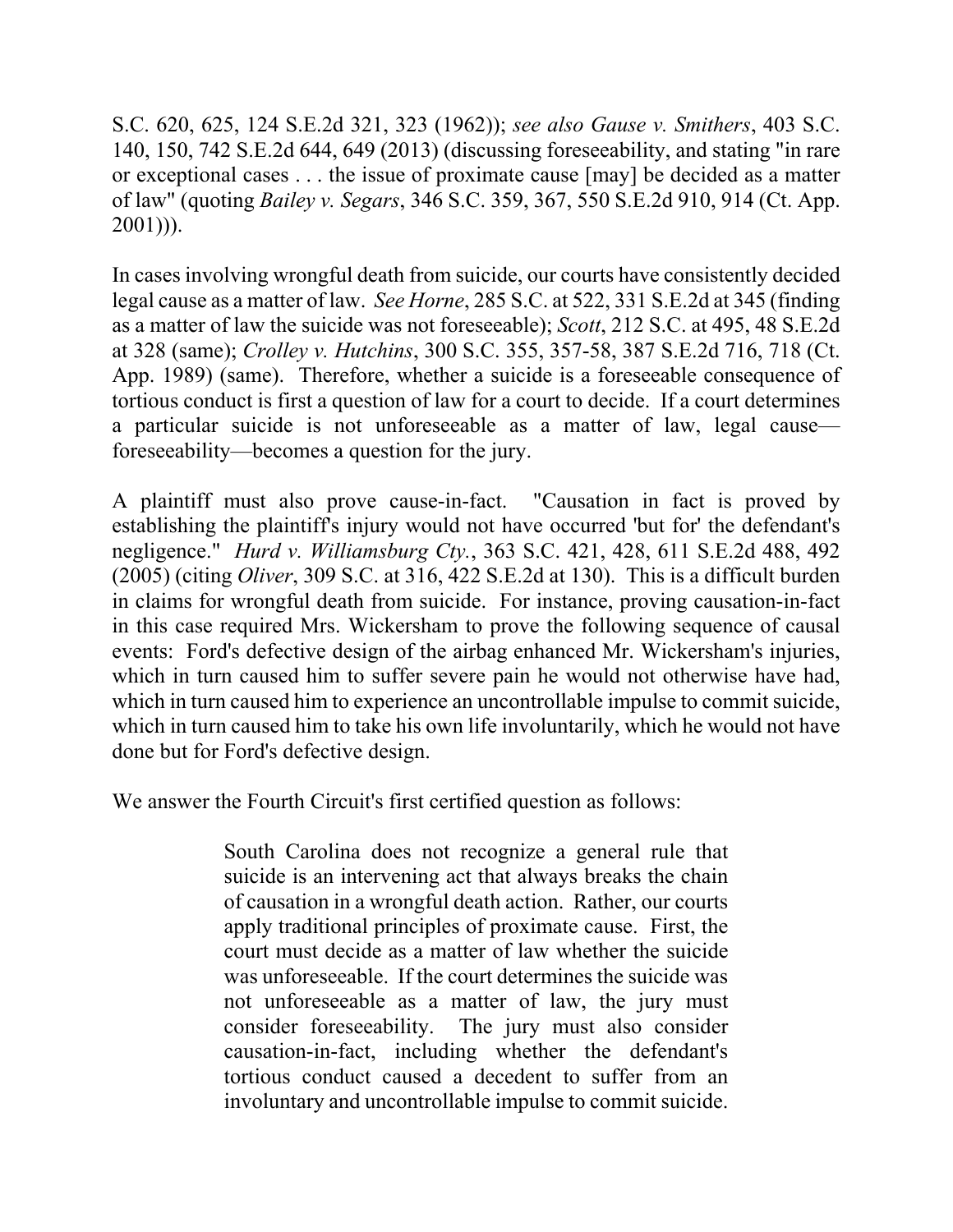or exceptional cases . . . the issue of proximate cause [may] be decided as a matter S.C. 620, 625, 124 S.E.2d 321, 323 (1962)); *see also Gause v. Smithers*, 403 S.C. 140, 150, 742 S.E.2d 644, 649 (2013) (discussing foreseeability, and stating "in rare of law" (quoting *Bailey v. Segars*, 346 S.C. 359, 367, 550 S.E.2d 910, 914 (Ct. App. 2001))).

 In cases involving wrongful death from suicide, our courts have consistently decided as a matter of law the suicide was not foreseeable); *Scott*, 212 S.C. at 495, 48 S.E.2d legal cause as a matter of law. *See Horne*, 285 S.C. at 522, 331 S.E.2d at 345 (finding at 328 (same); *Crolley v. Hutchins*, 300 S.C. 355, 357-58, 387 S.E.2d 716, 718 (Ct. App. 1989) (same). Therefore, whether a suicide is a foreseeable consequence of tortious conduct is first a question of law for a court to decide. If a court determines a particular suicide is not unforeseeable as a matter of law, legal cause foreseeability—becomes a question for the jury.

 (2005) (citing *Oliver*, 309 S.C. at 316, 422 S.E.2d at 130). This is a difficult burden A plaintiff must also prove cause-in-fact. "Causation in fact is proved by establishing the plaintiff's injury would not have occurred 'but for' the defendant's negligence." *Hurd v. Williamsburg Cty.*, 363 S.C. 421, 428, 611 S.E.2d 488, 492 in claims for wrongful death from suicide. For instance, proving causation-in-fact in this case required Mrs. Wickersham to prove the following sequence of causal events: Ford's defective design of the airbag enhanced Mr. Wickersham's injuries, which in turn caused him to suffer severe pain he would not otherwise have had, which in turn caused him to experience an uncontrollable impulse to commit suicide, which in turn caused him to take his own life involuntarily, which he would not have done but for Ford's defective design.

We answer the Fourth Circuit's first certified question as follows:

 of causation in a wrongful death action. Rather, our courts South Carolina does not recognize a general rule that suicide is an intervening act that always breaks the chain apply traditional principles of proximate cause. First, the court must decide as a matter of law whether the suicide was unforeseeable. If the court determines the suicide was not unforeseeable as a matter of law, the jury must consider foreseeability. The jury must also consider causation-in-fact, including whether the defendant's tortious conduct caused a decedent to suffer from an involuntary and uncontrollable impulse to commit suicide.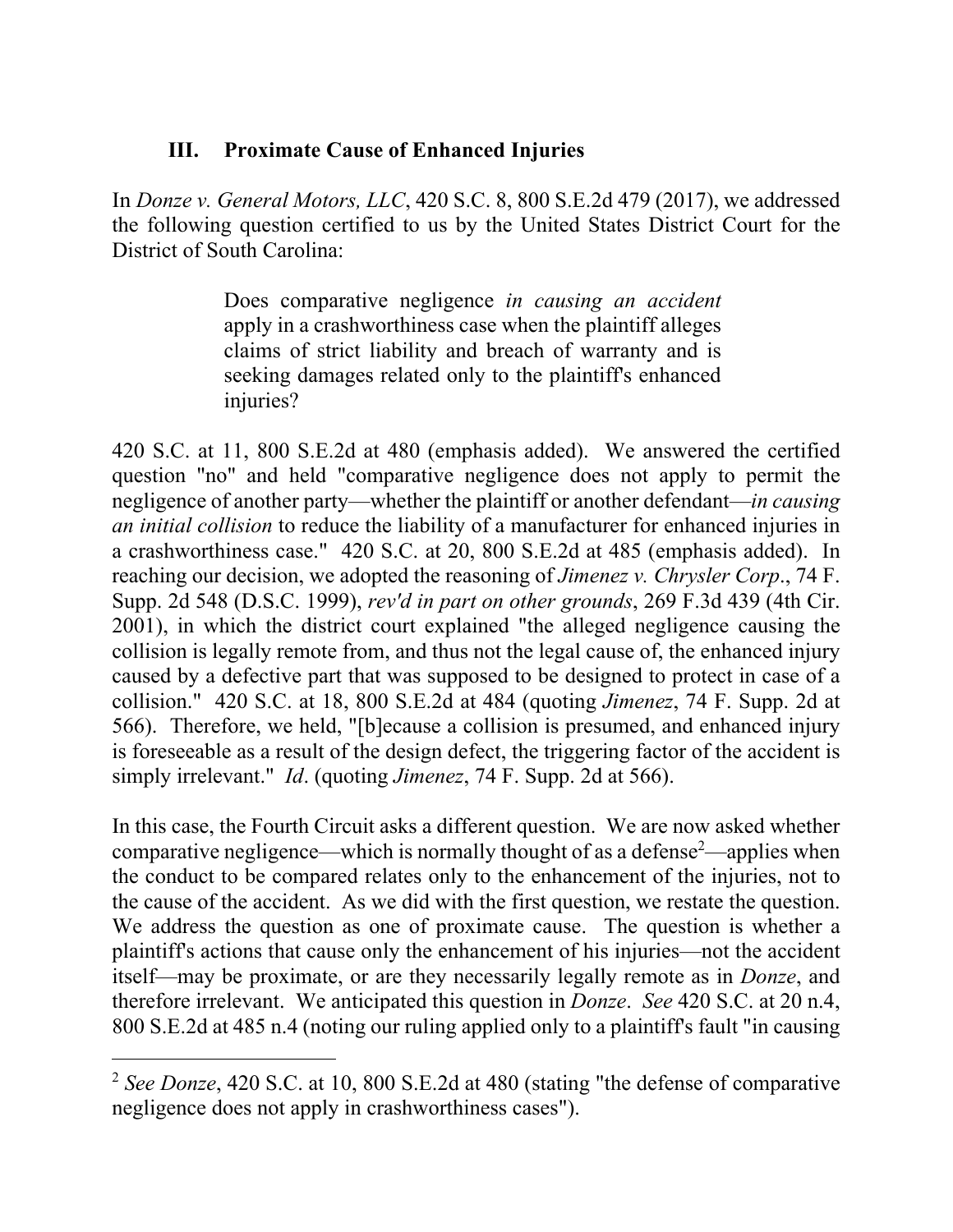## **III. Proximate Cause of Enhanced Injuries**

In *Donze v. General Motors, LLC*, 420 S.C. 8, 800 S.E.2d 479 (2017), we addressed the following question certified to us by the United States District Court for the District of South Carolina:

> Does comparative negligence *in causing an accident*  apply in a crashworthiness case when the plaintiff alleges claims of strict liability and breach of warranty and is seeking damages related only to the plaintiff's enhanced injuries?

 collision." 420 S.C. at 18, 800 S.E.2d at 484 (quoting *Jimenez*, 74 F. Supp. 2d at 420 S.C. at 11, 800 S.E.2d at 480 (emphasis added). We answered the certified question "no" and held "comparative negligence does not apply to permit the negligence of another party—whether the plaintiff or another defendant—*in causing an initial collision* to reduce the liability of a manufacturer for enhanced injuries in a crashworthiness case." 420 S.C. at 20, 800 S.E.2d at 485 (emphasis added). In reaching our decision, we adopted the reasoning of *Jimenez v. Chrysler Corp*., 74 F. Supp. 2d 548 (D.S.C. 1999), *rev'd in part on other grounds*, 269 F.3d 439 (4th Cir. 2001), in which the district court explained "the alleged negligence causing the collision is legally remote from, and thus not the legal cause of, the enhanced injury caused by a defective part that was supposed to be designed to protect in case of a 566). Therefore, we held, "[b]ecause a collision is presumed, and enhanced injury is foreseeable as a result of the design defect, the triggering factor of the accident is simply irrelevant." *Id*. (quoting *Jimenez*, 74 F. Supp. 2d at 566).

 We address the question as one of proximate cause. The question is whether a itself—may be proximate, or are they necessarily legally remote as in *Donze*, and In this case, the Fourth Circuit asks a different question. We are now asked whether comparative negligence—which is normally thought of as a defense<sup>2</sup>—applies when the conduct to be compared relates only to the enhancement of the injuries, not to the cause of the accident. As we did with the first question, we restate the question. plaintiff's actions that cause only the enhancement of his injuries—not the accident therefore irrelevant. We anticipated this question in *Donze*. *See* 420 S.C. at 20 n.4, 800 S.E.2d at 485 n.4 (noting our ruling applied only to a plaintiff's fault "in causing

 $\overline{a}$ 

<sup>2</sup> *See Donze*, 420 S.C. at 10, 800 S.E.2d at 480 (stating "the defense of comparative negligence does not apply in crashworthiness cases").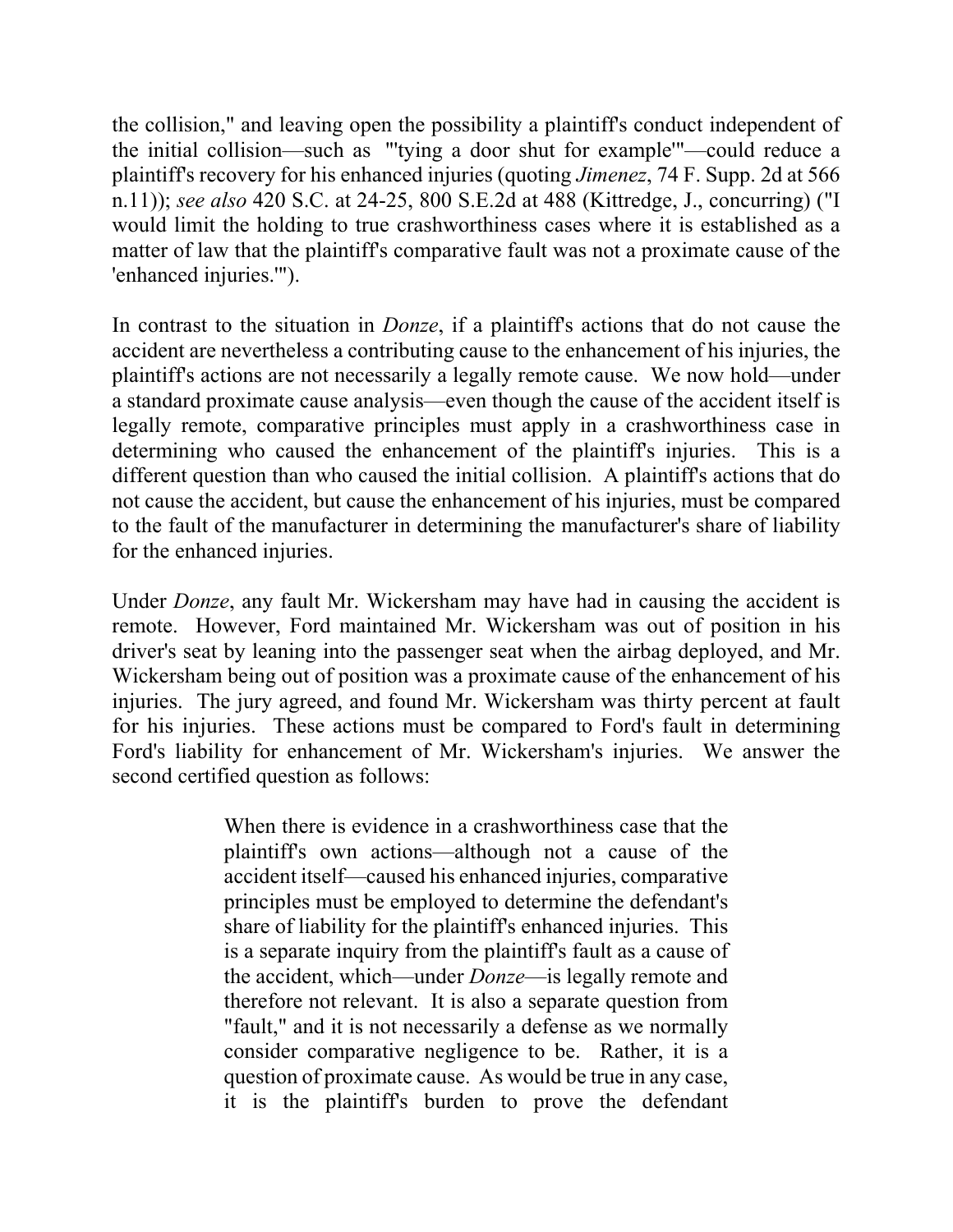the collision," and leaving open the possibility a plaintiff's conduct independent of the initial collision—such as "'tying a door shut for example'"—could reduce a plaintiff's recovery for his enhanced injuries (quoting *Jimenez*, 74 F. Supp. 2d at 566 n.11)); *see also* 420 S.C. at 24-25, 800 S.E.2d at 488 (Kittredge, J., concurring) ("I would limit the holding to true crashworthiness cases where it is established as a matter of law that the plaintiff's comparative fault was not a proximate cause of the 'enhanced injuries.'").

 plaintiff's actions are not necessarily a legally remote cause. We now hold—under determining who caused the enhancement of the plaintiff's injuries. This is a different question than who caused the initial collision. A plaintiff's actions that do In contrast to the situation in *Donze*, if a plaintiff's actions that do not cause the accident are nevertheless a contributing cause to the enhancement of his injuries, the a standard proximate cause analysis—even though the cause of the accident itself is legally remote, comparative principles must apply in a crashworthiness case in not cause the accident, but cause the enhancement of his injuries, must be compared to the fault of the manufacturer in determining the manufacturer's share of liability for the enhanced injuries.

 Under *Donze*, any fault Mr. Wickersham may have had in causing the accident is remote. However, Ford maintained Mr. Wickersham was out of position in his driver's seat by leaning into the passenger seat when the airbag deployed, and Mr. Wickersham being out of position was a proximate cause of the enhancement of his injuries. The jury agreed, and found Mr. Wickersham was thirty percent at fault for his injuries. These actions must be compared to Ford's fault in determining Ford's liability for enhancement of Mr. Wickersham's injuries. We answer the second certified question as follows:

> "fault," and it is not necessarily a defense as we normally consider comparative negligence to be. Rather, it is a When there is evidence in a crashworthiness case that the plaintiff's own actions—although not a cause of the accident itself—caused his enhanced injuries, comparative principles must be employed to determine the defendant's share of liability for the plaintiff's enhanced injuries. This is a separate inquiry from the plaintiff's fault as a cause of the accident, which—under *Donze*—is legally remote and therefore not relevant. It is also a separate question from question of proximate cause. As would be true in any case, it is the plaintiff's burden to prove the defendant